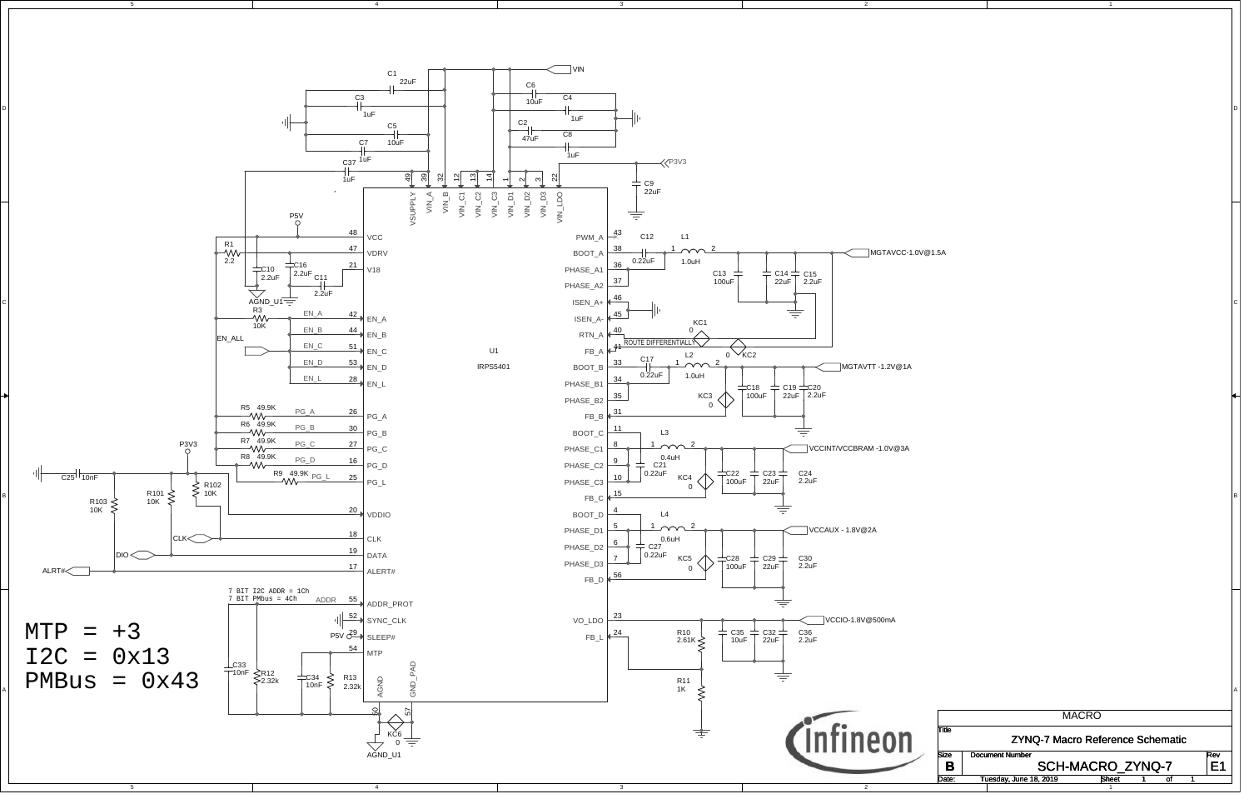5

4

3

| <b>MACRO</b> |                                         |  |  |  |  |  |  |  |
|--------------|-----------------------------------------|--|--|--|--|--|--|--|
| Title        | <b>ZYNQ-7 Macro Reference Schematic</b> |  |  |  |  |  |  |  |
| <b>Size</b>  | <b>Document Number</b><br>Rev           |  |  |  |  |  |  |  |
| в            | SCH-MACRO_ZYNQ-7<br>F <sub>1</sub>      |  |  |  |  |  |  |  |
| Date:        | Sheet<br>Tuesday, June 18, 2019<br>Οf   |  |  |  |  |  |  |  |
|              |                                         |  |  |  |  |  |  |  |

2

1